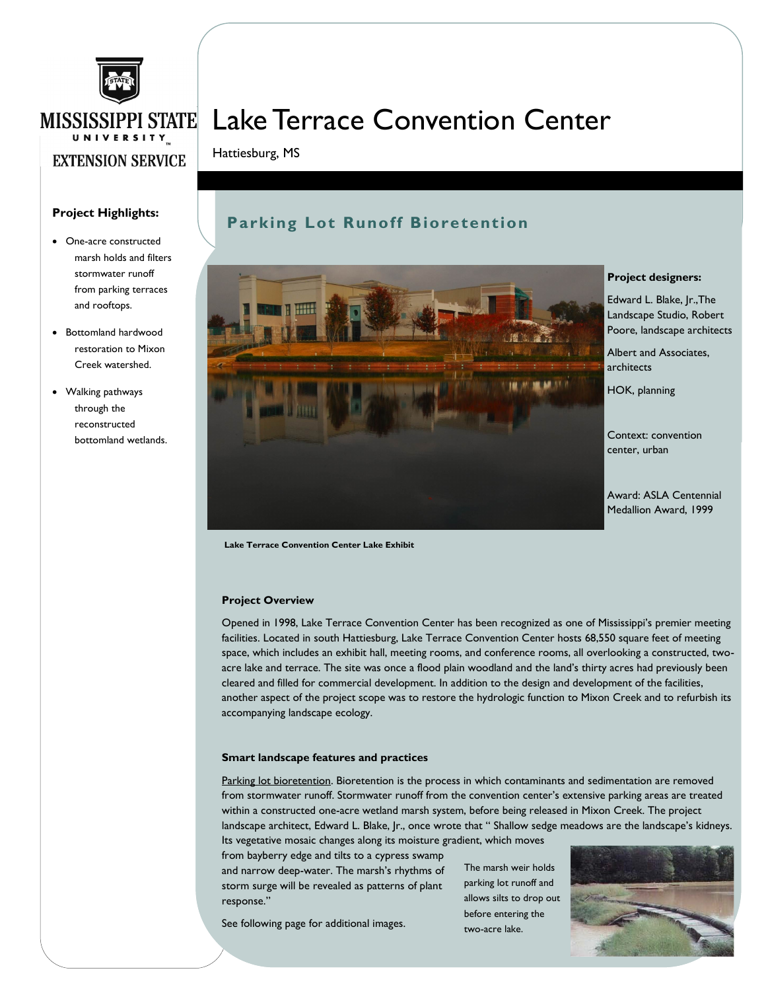

## Lake Terrace Convention Center

Hattiesburg, MS

### **Project Highlights:**

- One-acre constructed marsh holds and filters stormwater runoff from parking terraces and rooftops.
- Bottomland hardwood restoration to Mixon Creek watershed.
- Walking pathways through the reconstructed bottomland wetlands.

### **Parking Lot Runoff Bioretention**



**Project designers:**

Edward L. Blake, Jr.,The Landscape Studio, Robert Poore, landscape architects

Albert and Associates, architects

HOK, planning

Context: convention center, urban

Award: ASLA Centennial Medallion Award, 1999

**Lake Terrace Convention Center Lake Exhibit**

#### **Project Overview**

Opened in 1998, Lake Terrace Convention Center has been recognized as one of Mississippi's premier meeting facilities. Located in south Hattiesburg, Lake Terrace Convention Center hosts 68,550 square feet of meeting space, which includes an exhibit hall, meeting rooms, and conference rooms, all overlooking a constructed, twoacre lake and terrace. The site was once a flood plain woodland and the land's thirty acres had previously been cleared and filled for commercial development. In addition to the design and development of the facilities, another aspect of the project scope was to restore the hydrologic function to Mixon Creek and to refurbish its accompanying landscape ecology.

#### **Smart landscape features and practices**

Parking lot bioretention. Bioretention is the process in which contaminants and sedimentation are removed from stormwater runoff. Stormwater runoff from the convention center's extensive parking areas are treated within a constructed one-acre wetland marsh system, before being released in Mixon Creek. The project landscape architect, Edward L. Blake, Jr., once wrote that " Shallow sedge meadows are the landscape's kidneys.

Its vegetative mosaic changes along its moisture gradient, which moves

from bayberry edge and tilts to a cypress swamp and narrow deep-water. The marsh's rhythms of storm surge will be revealed as patterns of plant response."

See following page for additional images.

The marsh weir holds parking lot runoff and allows silts to drop out before entering the two-acre lake.